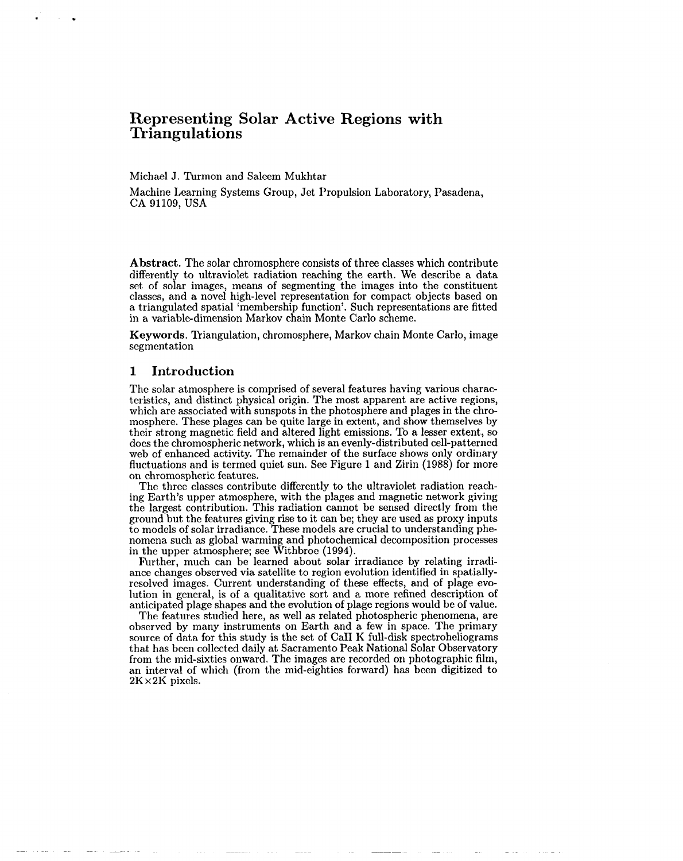# **Representing Solar Active Regions with Triangulations**

Michael J. Turmon and Saleem Mukhtar

Machine Learning Systems Group, Jet Propulsion Laboratory, Pasadena, CA 91109, USA

Abstract. The solar chromosphere consists of three classes which contribute differently to ultraviolet radiation reaching the earth. We describe a data set of solar images, means of segmenting the images into the constituent classes, and a novel high-level representation for compact objects based on a triangulated spatial 'membership function'. Such representations are fitted in a variable-dimension Markov chain Monte Carlo scheme.

Keywords. Triangulation, chromosphere, Markov chain Monte Carlo, image segmentation

## **1 Introduction**

. .

The solar atmosphere is comprised of several features having various characteristics, and distinct physical origin. The most apparent are active regions, which are associated with sunspots in the photosphere and plages in the chromosphere. These plages can be quite large in extent, and show themselves by their strong magnetic field and altered light emissions. To a lesser extent, so does the chromospheric network, which is an evenly-distributed cell-patterned web of enhanced activity. The remainder of the surface shows only ordinary fluctuations and is termed quiet sun. See Figure 1 and Zirin (1988) for more on chromospheric features.

The three classes contribute differently to the ultraviolet radiation reaching Earth's upper atmosphere, with the plages and magnetic network giving the largest contribution. This radiation cannot be sensed directly from the ground but the features giving rise to it can be; they are used as proxy inputs to models of solar irradiance. These models are crucial to understanding phenomena such as global warming and photochemical decomposition processes in the upper atmosphere; see Withbroe (1994).

Further, much can be learned about solar irradiance by relating irradiance changes observed via satellite to region evolution identified in spatiallyresolved images. Current understanding of these effects, and of plage evolution in general, is of a qualitative sort and a more refined description of anticipated plage shapes and the evolution of plage regions would be of value.

The features studied here, as well as related photospheric phenomena, are observed by many instruments on Earth and a few in space. The primary source of data for this study is the set of CaII K full-disk spectroheliograms that has been collected daily at Sacramento Peak National Solar Observatory from the mid-sixties onward. The images are recorded on photographic film, an interval of which (from the mid-eighties forward) has been digitized to  $2K \times 2K$  pixels.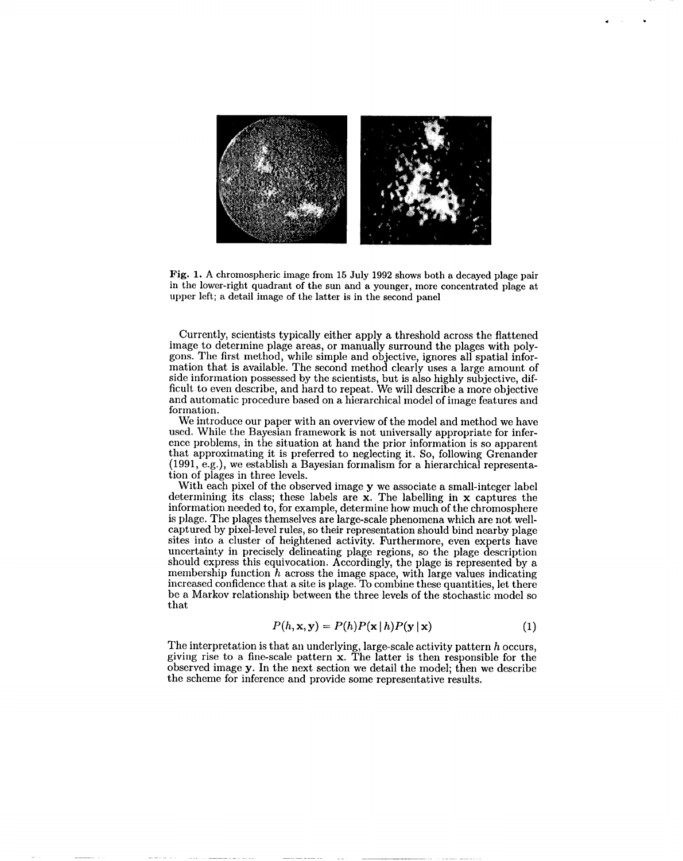

. .

Fig. **1. A chromospheric image from 15 July 1992 shows both a decayed plage pair in the lower-right quadrant of the sun and a younger, more concentrated plage at upper left; a detail image of the latter is in the second panel**

Currently, scientists typically either apply a threshold across the flattened image to determine plage areas, or manually surround the plages with polygons. The first method, while simple and objective, ignores all spatial information that is available. The second method clearly uses a large amount of side information possessed by the scientists, but is also highly subjective, difficult to even describe, and hard to repeat. We will describe a more objective and automatic procedure based on a hierarchical model of image features and formation.

We introduce our paper with an overview of the model and method we have used. While the Bayesian framework is not universally appropriate for inference problems, in the situation at hand the prior information is so apparent that approximating it is preferred to neglecting it. So, following Grenander (1991, e.g.), we establish a Bayesian formalism for a hierarchical representation of plages in three levels.

With each pixel of the observed image y we associate a small-integer label determining its class; these labels are  $\dot{x}$ . The labelling in  $x$  captures the information needed to, for example, determine how much of the chromosphere is plage. The plages themselves are large-scale phenomena which are not wellcaptured by pixel-level rules, so their representation should bind nearby plage sites into a cluster of heightened activity. Furthermore, even experts have uncertainty in precisely delineating plage regions, so the plage description should express this equivocation. Accordingly, the plage is represented by a membership function  $h$  across the image space, with large values indicating increased confidence that a site is plage. To combine these quantities, let there be a Markov relationship between the three levels of the stochastic model so that

$$
P(h, \mathbf{x}, \mathbf{y}) = P(h)P(\mathbf{x} | h)P(\mathbf{y} | \mathbf{x})
$$
\n(1)

The interpretation is that an underlying, large-scale activity pattern *h* occurs, giving rise to a fine-scale pattern x. The latter is then responsible for the observed image y. In the next section we detail the model; then we describe the scheme for inference and provide some representative results.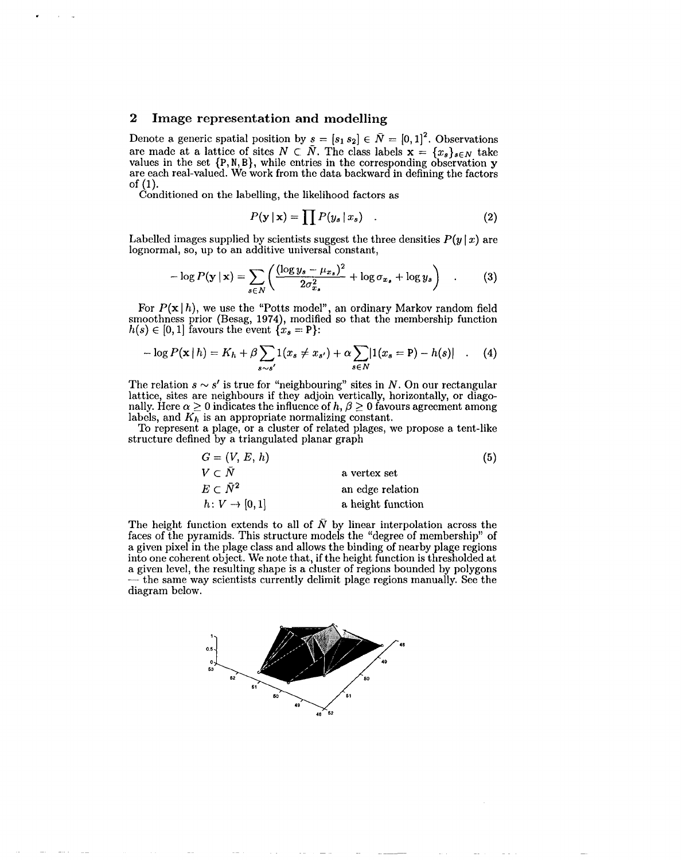# 2 **Image representation and modelling**

Denote a generic spatial position by  $s = [s_1 s_2] \in \overline{N} = [0, 1]^2$ . Observations are made at a lattice of sites  $N \subset N$ . The class labels  $\mathbf{x} = \{x_s\}_{s \in N}$  take values in the set  $\{P, N, B\}$ , while entries in the corresponding observation **y** are each real-valued. We work from the data backward in defining the factors of (l).

Conditioned on the labelling, the likelihood factors as

$$
P(\mathbf{y} \mid \mathbf{x}) = \prod P(y_s \mid x_s) \quad . \tag{2}
$$

Labelled images supplied by scientists suggest the three densities  $P(y|x)$  are lognormal, so, up to an additive universal constant,

$$
-\log P(\mathbf{y} \mid \mathbf{x}) = \sum_{s \in N} \left( \frac{(\log y_s - \mu_{x_s})^2}{2\sigma_{x_s}^2} + \log \sigma_{x_s} + \log y_s \right) \quad . \tag{3}
$$

For *P(x Ih), we* use the "Potts model" , an ordinary Markov random field  $h(s) \in [0,1]$  favours the event  $\{x_s = P\}$ : smoothness prior (Besag, 1974), modified so that the membership function

$$
-\log P(\mathbf{x} \mid h) = K_h + \beta \sum_{s \sim s'} 1(x_s \neq x_{s'}) + \alpha \sum_{s \in N} |1(x_s = P) - h(s)| \quad . \quad (4)
$$

The relation  $s \sim s'$  is true for "neighbouring" sites in N. On our rectangular lattice, sites are neighbours if they adjoin vertically, horizontally, or diagonally. Here  $\alpha \geq 0$  indicates the influence of  $h, \beta \geq 0$  favours agreement among labels, and  $K_h$  is an appropriate normalizing constant.

To represent a plage, or a cluster of related plages, we propose a tent-like structure defined by a triangulated planar graph

| $G = (V, E, h)$          |                   | (5) |
|--------------------------|-------------------|-----|
| $V \subset N$            | a vertex set      |     |
| $E\subset \bar{N}^2$     | an edge relation  |     |
| $h: V \rightarrow [0,1]$ | a height function |     |

The height function extends to all of  $\bar{N}$  by linear interpolation across the faces of the pyramids. This structure models the "degree of membership" of a given pixel in the plage class and allows the binding of nearby plage regions into one coherent object. We note that, if the height function is thresholded at a given level, the resulting shape is a cluster of regions bounded by polygons — the same way scientists currently delimit plage regions manually. See the diagram below.

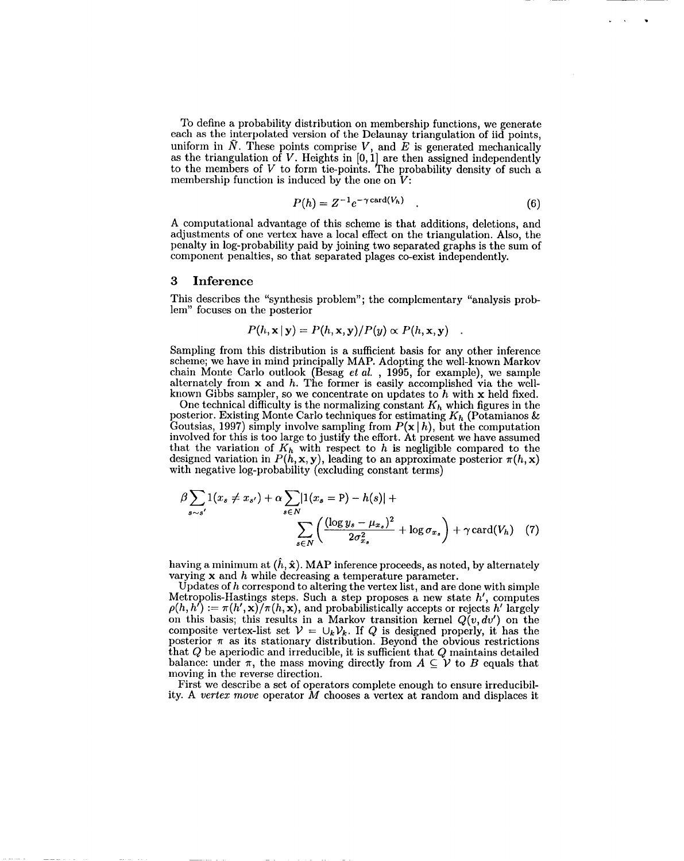To define a probability distribution on membership functions, we generate each as the interpolated version of the Delaunay triangulation of iid points, uniform in  $N$ . These points comprise  $V$ , and  $E$  is generated mechanically to the members of  $V$  to form tie-points. The probability density of such a as the triangulation of *V*. Heights in [0, 1] are then assigned independently membership function is induced by the one on *V:*

$$
P(h) = Z^{-1}e^{-\gamma \operatorname{card}(V_h)} \quad . \tag{6}
$$

. . .

A computational advantage of this scheme is that additions, deletions, and adjust ments of one vertex have a local effect on the triangulation. Also, the penalty in log-probability paid by joining two separated graphs is the sum of component penalties, so that separated plages co-exist independently.

#### 3 **Inference**

This describes the "synthesis problem"; the complementary "analysis problem" focuses on the posterior

$$
P(h, \mathbf{x} \mid \mathbf{y}) = P(h, \mathbf{x}, \mathbf{y}) / P(y) \propto P(h, \mathbf{x}, \mathbf{y}) \quad .
$$

Sampling from this distribution is a sufficient basis for any other inference scheme; we have in mind principally MAP. Adopting the well-known Markov chain Monte Carlo outlook (Besag et *al. ,* 1995, for example), we sample alternately from x and *h.* The former is easily accomplished via the wellknown Gibbs sampler, so we concentrate on updates to *h* with x held fixed.

One technical difficulty is the normalizing constant  $K_h$  which figures in the posterior. Existing Monte Carlo techniques for estimating  $K_h$  (Potamianos  $\&$ Goutsias, 1997) simply involve sampling from  $P(\mathbf{x} | h)$ , but the computation involved for this is too large to justify the effort. At present we have assumed that the variation of  $K_h$  with respect to h is negligible compared to the designed variation in  $P(h, \mathbf{x}, \mathbf{y})$ , leading to an approximate posterior  $\pi(h, \mathbf{x})$ with negative log-probability (excluding constant terms)

$$
\beta \sum_{s \sim s'} 1(x_s \neq x_{s'}) + \alpha \sum_{s \in N} |1(x_s = P) - h(s)| + \sum_{s \in N} \left( \frac{(\log y_s - \mu_{x_s})^2}{2\sigma_{x_s}^2} + \log \sigma_{x_s} \right) + \gamma \operatorname{card}(V_h) \quad (7)
$$

having a minimum at  $(\hat{h}, \hat{\mathbf{x}})$ . MAP inference proceeds, as noted, by alternately varying x and *h* while decreasing a temperature parameter.

Updates of *h* correspond to altering the vertex list, and are done with simple Metropolis-Hastings steps. Such a step proposes a new state *h',* computes  $\rho(h, h') := \pi(h', \mathbf{x})/\pi(h, \mathbf{x})$ , and probabilistically accepts or rejects *h'* largely on this basis; this results in a Markov transition kernel  $Q(v, dv')$  on the composite vertex-list set  $V = \bigcup_{k} V_{k}$ . If Q is designed properly, it has the posterior  $\pi$  as its stationary distribution. Beyond the obvious restrictions that  $Q$  be aperiodic and irreducible, it is sufficient that  $Q$  maintains detailed balance: under  $\pi$ , the mass moving directly from  $A \subseteq V$  to B equals that moving in the reverse direction.

First we describe a set of operators complete enough to ensure irreducibility. A *vertex* move **operator** *M* chooses a vertex at random and displaces it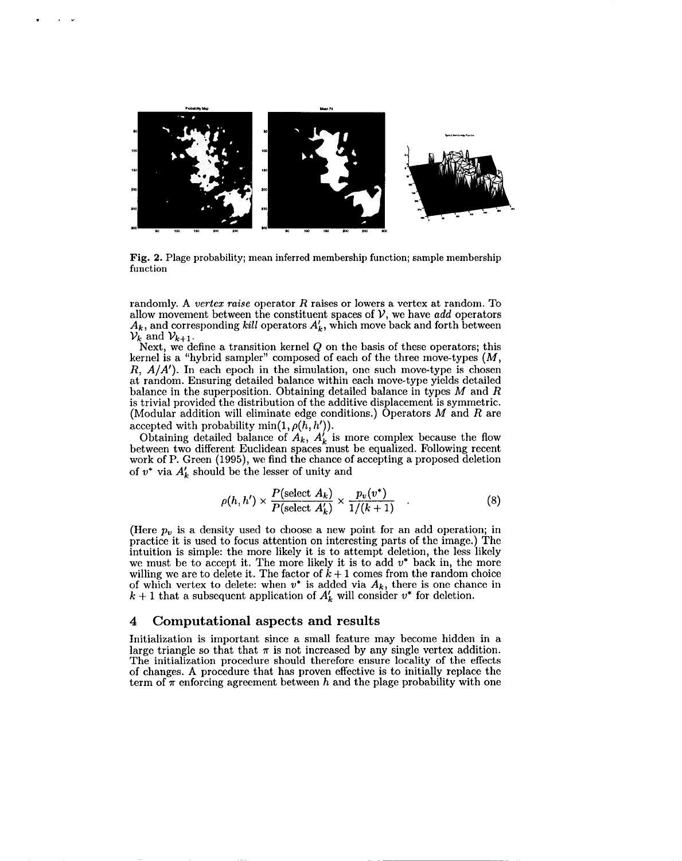

\*!.

Fig. **2. Plage probability; mean inferred membership function; sample membership function**

randomly. A *vertex raise* operator *R* raises or lowers a vertex at random. To allow movement between the constituent spaces of *V, we* have *add* operators  $A_k$ , and corresponding *kill* operators  $A'_k$ , which move back and forth between  $V_k$  and  $V_{k+1}$ .

Next, we define a transition kernel  $Q$  on the basis of these operators; this kernel is a "hybrid sampler" composed of each of the three move-types *(M, R, A/A').* In each epoch in the simulation, one such move-type is chosen at random. Ensuring detailed balance within each move-type yields detailed balance in the superposition. Obtaining detailed balance in types *M* and *R* is trivial provided the distribution of the additive displacement is symmetric. (Modular addition will eliminate edge conditions.) Operators *M* and *R* are accepted with probability  $min(1, \rho(h, h'))$ 

Obtaining detailed balance of  $A_k$ ,  $A'_k$  is more complex because the flow between two different Euclidean spaces must be equalized. Following recent work of P. Green (1995), we find the chance of accepting a proposed deletion of  $v^*$  via  $A'_k$  should be the lesser of unity and

$$
\rho(h, h') \times \frac{P(\text{select } A_k)}{P(\text{select } A'_k)} \times \frac{p_v(v^*)}{1/(k+1)} \tag{8}
$$

(Here  $p_{\nu}$  is a density used to choose a new point for an add operation; in practice it is used to focus attention on interesting parts of the image.) The intuition is simple: the more likely it is to attempt deletion, the less likely we must be to accept it. The more likely it is to add  $v^*$  back in, the more willing we are to delete it. The factor of *k + 1* comes from the random choice of which vertex to delete: when  $v^*$  is added via  $A_k$ , there is one chance in  $k + 1$  that a subsequent application of  $A'_k$  will consider  $v^*$  for deletion.

## **4 Computational aspects and results**

Initialization is important since a small feature may become hidden in a large triangle so that that  $\pi$  is not increased by any single vertex addition. The initialization procedure should therefore ensure locality of the effects of changes. A procedure that has proven effective is to initially replace the term of  $\pi$  enforcing agreement between h and the plage probability with one